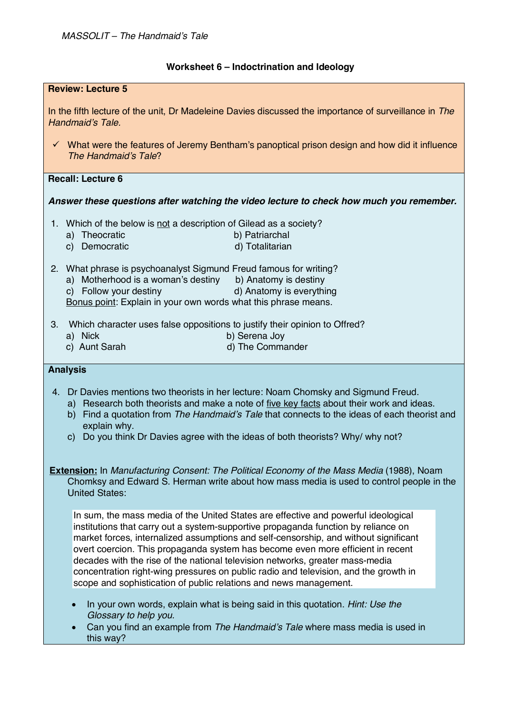## **Worksheet 6 – Indoctrination and Ideology**

| <b>Review: Lecture 5</b>                                                                                                                                                                                              |                                                                                                                                                                                                                                                                                                                                                                                                                                                                                                                                                                                                   |
|-----------------------------------------------------------------------------------------------------------------------------------------------------------------------------------------------------------------------|---------------------------------------------------------------------------------------------------------------------------------------------------------------------------------------------------------------------------------------------------------------------------------------------------------------------------------------------------------------------------------------------------------------------------------------------------------------------------------------------------------------------------------------------------------------------------------------------------|
| In the fifth lecture of the unit, Dr Madeleine Davies discussed the importance of surveillance in The<br>Handmaid's Tale.                                                                                             |                                                                                                                                                                                                                                                                                                                                                                                                                                                                                                                                                                                                   |
|                                                                                                                                                                                                                       | $\checkmark$ What were the features of Jeremy Bentham's panoptical prison design and how did it influence<br>The Handmaid's Tale?                                                                                                                                                                                                                                                                                                                                                                                                                                                                 |
|                                                                                                                                                                                                                       | <b>Recall: Lecture 6</b>                                                                                                                                                                                                                                                                                                                                                                                                                                                                                                                                                                          |
| Answer these questions after watching the video lecture to check how much you remember.                                                                                                                               |                                                                                                                                                                                                                                                                                                                                                                                                                                                                                                                                                                                                   |
|                                                                                                                                                                                                                       | 1. Which of the below is not a description of Gilead as a society?<br>b) Patriarchal<br>a) Theocratic<br>c) Democratic<br>d) Totalitarian                                                                                                                                                                                                                                                                                                                                                                                                                                                         |
|                                                                                                                                                                                                                       | 2. What phrase is psychoanalyst Sigmund Freud famous for writing?<br>a) Motherhood is a woman's destiny<br>b) Anatomy is destiny<br>d) Anatomy is everything<br>c) Follow your destiny<br>Bonus point: Explain in your own words what this phrase means.                                                                                                                                                                                                                                                                                                                                          |
| 3.                                                                                                                                                                                                                    | Which character uses false oppositions to justify their opinion to Offred?<br>a) Nick<br>b) Serena Joy<br>c) Aunt Sarah<br>d) The Commander                                                                                                                                                                                                                                                                                                                                                                                                                                                       |
|                                                                                                                                                                                                                       | <b>Analysis</b>                                                                                                                                                                                                                                                                                                                                                                                                                                                                                                                                                                                   |
|                                                                                                                                                                                                                       | 4. Dr Davies mentions two theorists in her lecture: Noam Chomsky and Sigmund Freud.<br>a) Research both theorists and make a note of five key facts about their work and ideas.<br>b) Find a quotation from The Handmaid's Tale that connects to the ideas of each theorist and<br>explain why.<br>Do you think Dr Davies agree with the ideas of both theorists? Why/ why not?<br>C)                                                                                                                                                                                                             |
| <b>Extension:</b> In Manufacturing Consent: The Political Economy of the Mass Media (1988), Noam<br>Chomksy and Edward S. Herman write about how mass media is used to control people in the<br><b>United States:</b> |                                                                                                                                                                                                                                                                                                                                                                                                                                                                                                                                                                                                   |
|                                                                                                                                                                                                                       | In sum, the mass media of the United States are effective and powerful ideological<br>institutions that carry out a system-supportive propaganda function by reliance on<br>market forces, internalized assumptions and self-censorship, and without significant<br>overt coercion. This propaganda system has become even more efficient in recent<br>decades with the rise of the national television networks, greater mass-media<br>concentration right-wing pressures on public radio and television, and the growth in<br>scope and sophistication of public relations and news management. |
|                                                                                                                                                                                                                       | In your own words, explain what is being said in this quotation. Hint: Use the<br>$\bullet$<br>Glossary to help you.<br>Can you find an example from The Handmaid's Tale where mass media is used in<br>this way?                                                                                                                                                                                                                                                                                                                                                                                 |